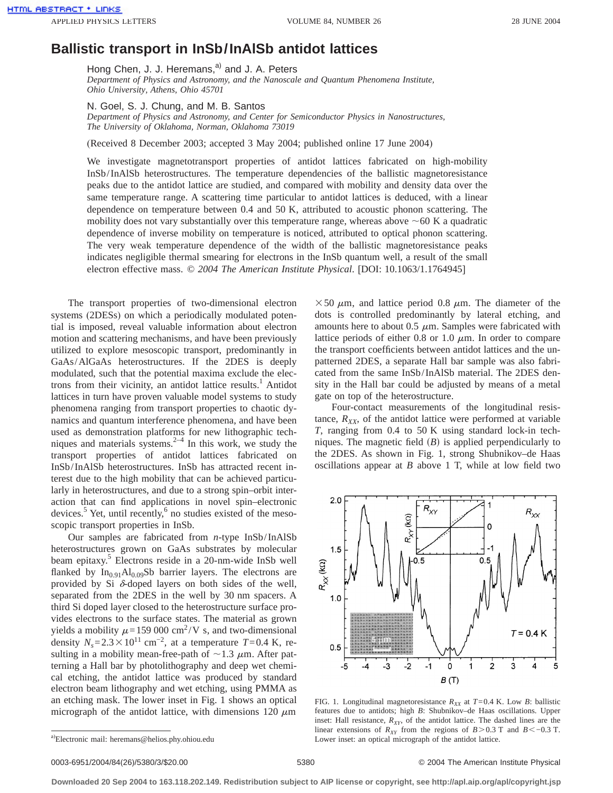## **Ballistic transport in InSb/InAlSb antidot lattices**

Hong Chen, J. J. Heremans, $a^{(i)}$  and J. A. Peters *Department of Physics and Astronomy, and the Nanoscale and Quantum Phenomena Institute, Ohio University, Athens, Ohio 45701*

## N. Goel, S. J. Chung, and M. B. Santos

*Department of Physics and Astronomy, and Center for Semiconductor Physics in Nanostructures, The University of Oklahoma, Norman, Oklahoma 73019*

(Received 8 December 2003; accepted 3 May 2004; published online 17 June 2004)

We investigate magnetotransport properties of antidot lattices fabricated on high-mobility InSb/InAlSb heterostructures. The temperature dependencies of the ballistic magnetoresistance peaks due to the antidot lattice are studied, and compared with mobility and density data over the same temperature range. A scattering time particular to antidot lattices is deduced, with a linear dependence on temperature between 0.4 and 50 K, attributed to acoustic phonon scattering. The mobility does not vary substantially over this temperature range, whereas above  $\sim 60$  K a quadratic dependence of inverse mobility on temperature is noticed, attributed to optical phonon scattering. The very weak temperature dependence of the width of the ballistic magnetoresistance peaks indicates negligible thermal smearing for electrons in the InSb quantum well, a result of the small electron effective mass. © *2004 The American Institute Physical*. [DOI: 10.1063/1.1764945]

The transport properties of two-dimensional electron systems (2DESs) on which a periodically modulated potential is imposed, reveal valuable information about electron motion and scattering mechanisms, and have been previously utilized to explore mesoscopic transport, predominantly in GaAs/AlGaAs heterostructures. If the 2DES is deeply modulated, such that the potential maxima exclude the electrons from their vicinity, an antidot lattice results.<sup>1</sup> Antidot lattices in turn have proven valuable model systems to study phenomena ranging from transport properties to chaotic dynamics and quantum interference phenomena, and have been used as demonstration platforms for new lithographic techniques and materials systems. $2^{-4}$  In this work, we study the transport properties of antidot lattices fabricated on InSb/InAlSb heterostructures. InSb has attracted recent interest due to the high mobility that can be achieved particularly in heterostructures, and due to a strong spin–orbit interaction that can find applications in novel spin–electronic devices.<sup>5</sup> Yet, until recently, $6$  no studies existed of the mesoscopic transport properties in InSb.

Our samples are fabricated from *n*-type InSb/InAlSb heterostructures grown on GaAs substrates by molecular beam epitaxy.<sup>5</sup> Electrons reside in a 20-nm-wide InSb well flanked by  $In<sub>0.91</sub>Al<sub>0.09</sub>Sb barrier layers. The electrons are$ provided by Si  $\delta$ -doped layers on both sides of the well, separated from the 2DES in the well by 30 nm spacers. A third Si doped layer closed to the heterostructure surface provides electrons to the surface states. The material as grown yields a mobility  $\mu$ =159 000 cm<sup>2</sup>/V s, and two-dimensional density  $N_s$ =2.3×10<sup>11</sup> cm<sup>-2</sup>, at a temperature *T*=0.4 K, resulting in a mobility mean-free-path of  $\sim$ 1.3  $\mu$ m. After patterning a Hall bar by photolithography and deep wet chemical etching, the antidot lattice was produced by standard electron beam lithography and wet etching, using PMMA as an etching mask. The lower inset in Fig. 1 shows an optical micrograph of the antidot lattice, with dimensions 120  $\mu$ m

 $\times$  50  $\mu$ m, and lattice period 0.8  $\mu$ m. The diameter of the dots is controlled predominantly by lateral etching, and amounts here to about 0.5  $\mu$ m. Samples were fabricated with lattice periods of either 0.8 or 1.0  $\mu$ m. In order to compare the transport coefficients between antidot lattices and the unpatterned 2DES, a separate Hall bar sample was also fabricated from the same InSb/InAlSb material. The 2DES density in the Hall bar could be adjusted by means of a metal gate on top of the heterostructure.

Four-contact measurements of the longitudinal resistance,  $R_{XX}$ , of the antidot lattice were performed at variable *T*, ranging from 0.4 to 50 K using standard lock-in techniques. The magnetic field  $(B)$  is applied perpendicularly to the 2DES. As shown in Fig. 1, strong Shubnikov–de Haas oscillations appear at *B* above 1 T, while at low field two



FIG. 1. Longitudinal magnetoresistance  $R_{XX}$  at  $T=0.4$  K. Low *B*: ballistic features due to antidots; high *B*: Shubnikov–de Haas oscillations. Upper inset: Hall resistance,  $R_{XY}$ , of the antidot lattice. The dashed lines are the linear extensions of  $R_{XY}$  from the regions of *B*>0.3 T and *B*<−0.3 T. Lower inset: an optical micrograph of the antidot lattice.

## 0003-6951/2004/84(26)/5380/3/\$20.00 © 2004 The American Institute Physical 5380

**Downloaded 20 Sep 2004 to 163.118.202.149. Redistribution subject to AIP license or copyright, see http://apl.aip.org/apl/copyright.jsp**

a)Electronic mail: heremans@helios.phy.ohiou.edu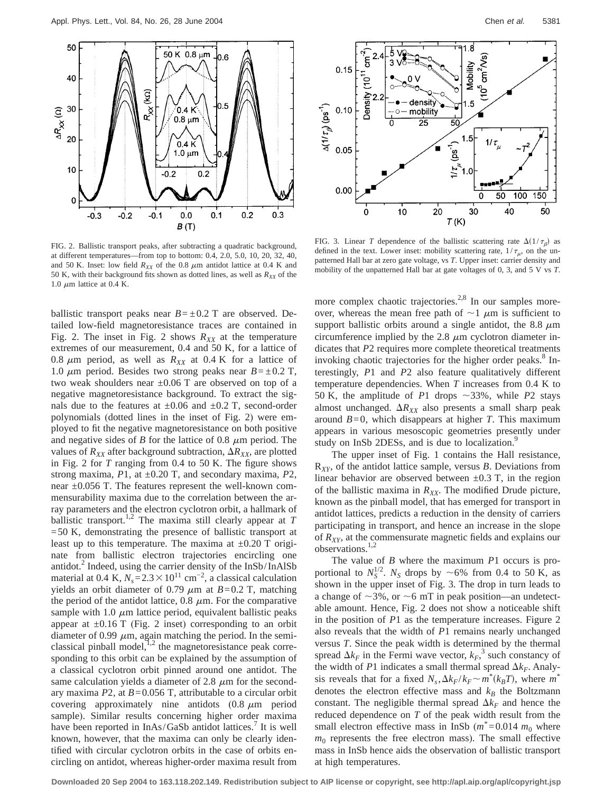

FIG. 2. Ballistic transport peaks, after subtracting a quadratic background, at different temperatures—from top to bottom: 0.4, 2.0, 5.0, 10, 20, 32, 40, and 50 K. Inset: low field  $R_{XX}$  of the 0.8  $\mu$ m antidot lattice at 0.4 K and 50 K, with their background fits shown as dotted lines, as well as  $R_{XX}$  of the 1.0  $\mu$ m lattice at 0.4 K.

ballistic transport peaks near  $B = \pm 0.2$  T are observed. Detailed low-field magnetoresistance traces are contained in Fig. 2. The inset in Fig. 2 shows  $R_{XX}$  at the temperature extremes of our measurement, 0.4 and 50 K, for a lattice of 0.8  $\mu$ m period, as well as  $R_{XX}$  at 0.4 K for a lattice of 1.0  $\mu$ m period. Besides two strong peaks near *B*= $\pm$ 0.2 T, two weak shoulders near  $\pm 0.06$  T are observed on top of a negative magnetoresistance background. To extract the signals due to the features at  $\pm 0.06$  and  $\pm 0.2$  T, second-order polynomials (dotted lines in the inset of Fig. 2) were employed to fit the negative magnetoresistance on both positive and negative sides of *B* for the lattice of 0.8  $\mu$ m period. The values of  $R_{XX}$  after background subtraction,  $\Delta R_{XX}$ , are plotted in Fig. 2 for *T* ranging from 0.4 to 50 K. The figure shows strong maxima, *P*1, at ±0.20 T, and secondary maxima, *P*2, near  $\pm 0.056$  T. The features represent the well-known commensurability maxima due to the correlation between the array parameters and the electron cyclotron orbit, a hallmark of ballistic transport.<sup>1,2</sup> The maxima still clearly appear at  $T$ =50 K, demonstrating the presence of ballistic transport at least up to this temperature. The maxima at  $\pm 0.20$  T originate from ballistic electron trajectories encircling one antidot.<sup>2</sup> Indeed, using the carrier density of the InSb/InAlSb material at 0.4 K,  $N_s$ =2.3 × 10<sup>11</sup> cm<sup>-2</sup>, a classical calculation yields an orbit diameter of 0.79  $\mu$ m at *B*=0.2 T, matching the period of the antidot lattice,  $0.8 \mu m$ . For the comparative sample with 1.0  $\mu$ m lattice period, equivalent ballistic peaks appear at  $\pm 0.16$  T (Fig. 2 inset) corresponding to an orbit diameter of 0.99  $\mu$ m, again matching the period. In the semiclassical pinball model, $1,2$  the magnetoresistance peak corresponding to this orbit can be explained by the assumption of a classical cyclotron orbit pinned around one antidot. The same calculation yields a diameter of 2.8  $\mu$ m for the secondary maxima *P*2, at *B*=0.056 T, attributable to a circular orbit covering approximately nine antidots  $(0.8 \mu m$  period sample). Similar results concerning higher order maxima have been reported in InAs/GaSb antidot lattices.<sup>7</sup> It is well known, however, that the maxima can only be clearly identified with circular cyclotron orbits in the case of orbits encircling on antidot, whereas higher-order maxima result from



FIG. 3. Linear *T* dependence of the ballistic scattering rate  $\Delta(1/\tau_B)$  as defined in the text. Lower inset: mobility scattering rate,  $1/\tau_{\mu}$ , on the unpatterned Hall bar at zero gate voltage, vs *T*. Upper inset: carrier density and mobility of the unpatterned Hall bar at gate voltages of 0, 3, and 5 V vs *T*.

more complex chaotic trajectories.<sup>2,8</sup> In our samples moreover, whereas the mean free path of  $\sim$  1  $\mu$ m is sufficient to support ballistic orbits around a single antidot, the 8.8  $\mu$ m circumference implied by the 2.8  $\mu$ m cyclotron diameter indicates that *P*2 requires more complete theoretical treatments invoking chaotic trajectories for the higher order peaks.<sup>8</sup> Interestingly, *P*1 and *P*2 also feature qualitatively different temperature dependencies. When *T* increases from 0.4 K to 50 K, the amplitude of  $P1$  drops  $\sim$ 33%, while  $P2$  stays almost unchanged.  $\Delta R_{XX}$  also presents a small sharp peak around *B*=0, which disappears at higher *T*. This maximum appears in various mesoscopic geometries presently under study on InSb 2DESs, and is due to localization.<sup>9</sup>

The upper inset of Fig. 1 contains the Hall resistance, R*XY*, of the antidot lattice sample, versus *B*. Deviations from linear behavior are observed between  $\pm 0.3$  T, in the region of the ballistic maxima in  $R_{XX}$ . The modified Drude picture, known as the pinball model, that has emerged for transport in antidot lattices, predicts a reduction in the density of carriers participating in transport, and hence an increase in the slope of  $R_{XY}$ , at the commensurate magnetic fields and explains our observations.<sup>1,2</sup>

The value of *B* where the maximum *P*1 occurs is proportional to  $N_S^{1/2}$ .  $N_S$  drops by  $\sim$  6% from 0.4 to 50 K, as shown in the upper inset of Fig. 3. The drop in turn leads to a change of  $\sim$ 3%, or  $\sim$ 6 mT in peak position—an undetectable amount. Hence, Fig. 2 does not show a noticeable shift in the position of *P*1 as the temperature increases. Figure 2 also reveals that the width of *P*1 remains nearly unchanged versus *T*. Since the peak width is determined by the thermal spread  $\Delta k_F$  in the Fermi wave vector,  $k_F$ <sup>3</sup> such constancy of the width of *P*1 indicates a small thermal spread  $\Delta k_F$ . Analysis reveals that for a fixed  $N_s$ ,  $\Delta k_F / k_F \sim m^* (k_B T)$ , where  $m^*$ denotes the electron effective mass and  $k_B$  the Boltzmann constant. The negligible thermal spread  $\Delta k_F$  and hence the reduced dependence on *T* of the peak width result from the small electron effective mass in InSb  $(m^*=0.014 \, m_0)$  where  $m<sub>0</sub>$  represents the free electron mass). The small effective mass in InSb hence aids the observation of ballistic transport at high temperatures.

**Downloaded 20 Sep 2004 to 163.118.202.149. Redistribution subject to AIP license or copyright, see http://apl.aip.org/apl/copyright.jsp**